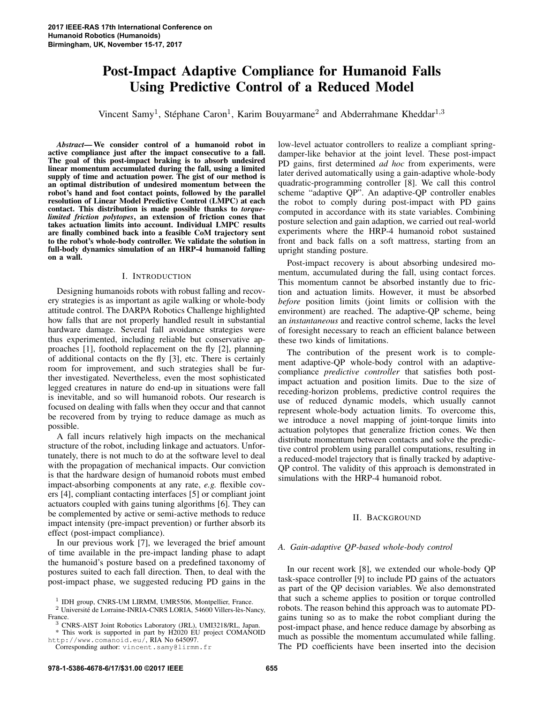# Post-Impact Adaptive Compliance for Humanoid Falls Using Predictive Control of a Reduced Model

Vincent Samy<sup>1</sup>, Stéphane Caron<sup>1</sup>, Karim Bouyarmane<sup>2</sup> and Abderrahmane Kheddar<sup>1,3</sup>

*Abstract*— We consider control of a humanoid robot in active compliance just after the impact consecutive to a fall. The goal of this post-impact braking is to absorb undesired linear momentum accumulated during the fall, using a limited supply of time and actuation power. The gist of our method is an optimal distribution of undesired momentum between the robot's hand and foot contact points, followed by the parallel resolution of Linear Model Predictive Control (LMPC) at each contact. This distribution is made possible thanks to *torquelimited friction polytopes*, an extension of friction cones that takes actuation limits into account. Individual LMPC results are finally combined back into a feasible CoM trajectory sent to the robot's whole-body controller. We validate the solution in full-body dynamics simulation of an HRP-4 humanoid falling on a wall.

# I. INTRODUCTION

Designing humanoids robots with robust falling and recovery strategies is as important as agile walking or whole-body attitude control. The DARPA Robotics Challenge highlighted how falls that are not properly handled result in substantial hardware damage. Several fall avoidance strategies were thus experimented, including reliable but conservative approaches [1], foothold replacement on the fly [2], planning of additional contacts on the fly [3], etc. There is certainly room for improvement, and such strategies shall be further investigated. Nevertheless, even the most sophisticated legged creatures in nature do end-up in situations were fall is inevitable, and so will humanoid robots. Our research is focused on dealing with falls when they occur and that cannot be recovered from by trying to reduce damage as much as possible.

A fall incurs relatively high impacts on the mechanical structure of the robot, including linkage and actuators. Unfortunately, there is not much to do at the software level to deal with the propagation of mechanical impacts. Our conviction is that the hardware design of humanoid robots must embed impact-absorbing components at any rate, *e.g.* flexible covers [4], compliant contacting interfaces [5] or compliant joint actuators coupled with gains tuning algorithms [6]. They can be complemented by active or semi-active methods to reduce impact intensity (pre-impact prevention) or further absorb its effect (post-impact compliance).

In our previous work [7], we leveraged the brief amount of time available in the pre-impact landing phase to adapt the humanoid's posture based on a predefined taxonomy of postures suited to each fall direction. Then, to deal with the post-impact phase, we suggested reducing PD gains in the low-level actuator controllers to realize a compliant springdamper-like behavior at the joint level. These post-impact PD gains, first determined *ad hoc* from experiments, were later derived automatically using a gain-adaptive whole-body quadratic-programming controller [8]. We call this control scheme "adaptive QP". An adaptive-QP controller enables the robot to comply during post-impact with PD gains computed in accordance with its state variables. Combining posture selection and gain adaption, we carried out real-world experiments where the HRP-4 humanoid robot sustained front and back falls on a soft mattress, starting from an upright standing posture.

Post-impact recovery is about absorbing undesired momentum, accumulated during the fall, using contact forces. This momentum cannot be absorbed instantly due to friction and actuation limits. However, it must be absorbed *before* position limits (joint limits or collision with the environment) are reached. The adaptive-QP scheme, being an *instantaneous* and reactive control scheme, lacks the level of foresight necessary to reach an efficient balance between these two kinds of limitations.

The contribution of the present work is to complement adaptive-QP whole-body control with an adaptivecompliance *predictive controller* that satisfies both postimpact actuation and position limits. Due to the size of receding-horizon problems, predictive control requires the use of reduced dynamic models, which usually cannot represent whole-body actuation limits. To overcome this, we introduce a novel mapping of joint-torque limits into actuation polytopes that generalize friction cones. We then distribute momentum between contacts and solve the predictive control problem using parallel computations, resulting in a reduced-model trajectory that is finally tracked by adaptive-QP control. The validity of this approach is demonstrated in simulations with the HRP-4 humanoid robot.

# II. BACKGROUND

# *A. Gain-adaptive QP-based whole-body control*

In our recent work [8], we extended our whole-body QP task-space controller [9] to include PD gains of the actuators as part of the QP decision variables. We also demonstrated that such a scheme applies to position or torque controlled robots. The reason behind this approach was to automate PDgains tuning so as to make the robot compliant during the post-impact phase, and hence reduce damage by absorbing as much as possible the momentum accumulated while falling. The PD coefficients have been inserted into the decision

<sup>&</sup>lt;sup>1</sup> IDH group, CNRS-UM LIRMM, UMR5506, Montpellier, France.<br><sup>2</sup> Université de Lorraine-INRIA-CNRS LORIA, 54600 Villers-lès-Nancy, France.

<sup>&</sup>lt;sup>3</sup> CNRS-AIST Joint Robotics Laboratory (JRL), UMI3218/RL, Japan.

<sup>\*</sup> This work is supported in part by H2020 EU project COMANOID http://www.comanoid.eu/, RIA No 645097.

Corresponding author: vincent.samy@lirmm.fr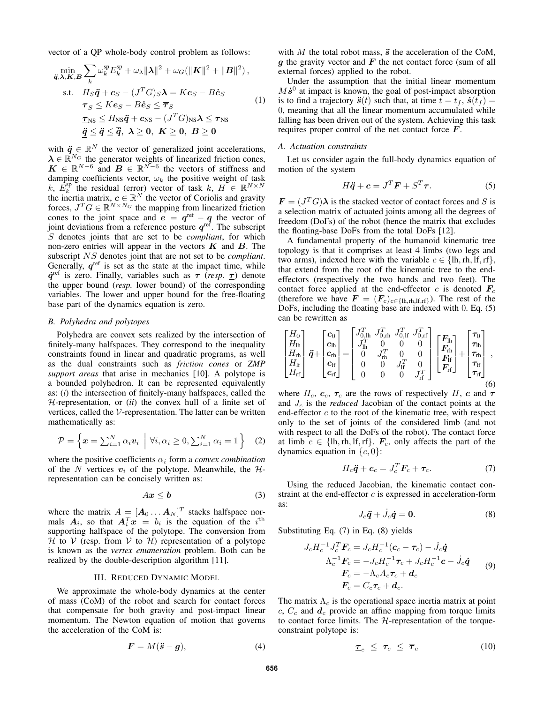vector of a QP whole-body control problem as follows:

$$
\min_{\vec{q},\lambda,K,B} \sum_{k} \omega_k^{\text{sp}} E_k^{\text{sp}} + \omega_\lambda \|\lambda\|^2 + \omega_G(\|K\|^2 + \|B\|^2),
$$
\n
$$
\text{s.t.} \quad H_S \ddot{\vec{q}} + c_S - (J^T G)_S \lambda = K e_S - B \dot{e}_S
$$
\n
$$
\tau_S \leq K e_S - B \dot{e}_S \leq \overline{\tau}_S
$$
\n
$$
\tau_{\text{NS}} \leq H_{\text{NS}} \ddot{\vec{q}} + c_{\text{NS}} - (J^T G)_{\text{NS}} \lambda \leq \overline{\tau}_{\text{NS}}
$$
\n
$$
\ddot{\vec{q}} \leq \ddot{\vec{q}} \leq \overline{\vec{q}}, \ \lambda \geq 0, \ K \geq 0, \ B \geq 0
$$
\n(1)

with  $\ddot{q} \in \mathbb{R}^N$  the vector of generalized joint accelerations,  $\lambda \in \mathbb{R}^{N_G}$  the generator weights of linearized friction cones,  $K \in \mathbb{R}^{N-6}$  and  $B \in \mathbb{R}^{N-6}$  the vectors of stiffness and damping coefficients vector,  $\omega_k$  the positive weight of task k,  $E_k^{\text{sp}}$  the residual (error) vector of task k,  $H \in \mathbb{R}^{N \times N}$ the inertia matrix,  $c \in \mathbb{R}^N$  the vector of Coriolis and gravity forces,  $J^T G \in \mathbb{R}^{N \times N_G}$  the mapping from linearized friction cones to the joint space and  $\mathbf{e} = \mathbf{q}^{\text{ref}} - \mathbf{q}$  the vector of joint deviations from a reference posture  $q^{\text{ref}}$ . The subscript S denotes joints that are set to be *compliant*, for which non-zero entries will appear in the vectors *K* and *B*. The subscript NS denotes joint that are not set to be *compliant*. Generally,  $q^{\text{ref}}$  is set as the state at the impact time, while *q***˙** ref is zero. Finally, variables such as *τ* (*resp. τ* ) denote the upper bound (*resp.* lower bound) of the corresponding variables. The lower and upper bound for the free-floating base part of the dynamics equation is zero.

#### *B. Polyhedra and polytopes*

Polyhedra are convex sets realized by the intersection of finitely-many halfspaces. They correspond to the inequality constraints found in linear and quadratic programs, as well as the dual constraints such as *friction cones* or *ZMP support areas* that arise in mechanics [10]. A polytope is a bounded polyhedron. It can be represented equivalently as: (*i*) the intersection of finitely-many halfspaces, called the H-representation, or (*ii*) the convex hull of a finite set of vertices, called the V-representation. The latter can be written mathematically as:

$$
\mathcal{P} = \left\{ \boldsymbol{x} = \sum_{i=1}^{N} \alpha_i \boldsymbol{v}_i \; \middle| \; \forall i, \alpha_i \geq 0, \sum_{i=1}^{N} \alpha_i = 1 \right\} \quad (2)
$$

where the positive coefficients  $\alpha_i$  form a *convex combination* of the N vertices  $v_i$  of the polytope. Meanwhile, the  $H$ representation can be concisely written as:

$$
Ax \leq b \tag{3}
$$

where the matrix  $A = [A_0 \dots A_N]^T$  stacks halfspace normals  $A_i$ , so that  $A_i^T x = b_i$  is the equation of the i<sup>th</sup> supporting halfspace of the polytope. The conversion from H to V (resp. from V to H) representation of a polytope is known as the *vertex enumeration* problem. Both can be realized by the double-description algorithm [11].

#### III. REDUCED DYNAMIC MODEL

We approximate the whole-body dynamics at the center of mass (CoM) of the robot and search for contact forces that compensate for both gravity and post-impact linear momentum. The Newton equation of motion that governs the acceleration of the CoM is:

$$
\boldsymbol{F} = M(\ddot{\boldsymbol{s}} - \boldsymbol{g}),\tag{4}
$$

with  $M$  the total robot mass,  $\ddot{s}$  the acceleration of the CoM, *g* the gravity vector and *F* the net contact force (sum of all external forces) applied to the robot.

Under the assumption that the initial linear momentum  $M\dot{s}^0$  at impact is known, the goal of post-impact absorption is to find a trajectory  $\ddot{\bm{s}}(t)$  such that, at time  $t = t_f$ ,  $\dot{\bm{s}}(t_f) =$ 0, meaning that all the linear momentum accumulated while falling has been driven out of the system. Achieving this task requires proper control of the net contact force *F*.

#### *A. Actuation constraints*

Let us consider again the full-body dynamics equation of motion of the system

$$
H\ddot{\boldsymbol{q}} + \boldsymbol{c} = J^T \boldsymbol{F} + S^T \boldsymbol{\tau}.
$$
 (5)

 $\mathbf{F} = (J^T G)\lambda$  is the stacked vector of contact forces and S is a selection matrix of actuated joints among all the degrees of freedom (DoFs) of the robot (hence the matrix that excludes the floating-base DoFs from the total DoFs [12].

A fundamental property of the humanoid kinematic tree topology is that it comprises at least 4 limbs (two legs and two arms), indexed here with the variable  $c \in \{\text{lh}, \text{rh}, \text{lf}, \text{rf}\},\$ that extend from the root of the kinematic tree to the endeffectors (respectively the two hands and two feet). The contact force applied at the end-effector  $c$  is denoted  $\mathbf{F}_c$ (therefore we have  $\mathbf{F} = (F_c)_{c \in \{\text{lh},\text{rh},\text{lf},\text{rf}\}\text{}}$ ). The rest of the DoFs, including the floating base are indexed with 0. Eq. (5) can be rewritten as

$$
\begin{bmatrix} H_0 \\ H_{\text{Ih}} \\ H_{\text{r}} \\ H_{\text{lf}} \\ H_{\text{rf}} \end{bmatrix} \ddot{\mathbf{q}} + \begin{bmatrix} \mathbf{c}_0 \\ \mathbf{c}_{\text{Ih}} \\ \mathbf{c}_{\text{r}} \\ \mathbf{c}_{\text{rf}} \\ \mathbf{c}_{\text{rf}} \end{bmatrix} = \begin{bmatrix} J_{0,\text{Ih}}^T & J_{0,\text{Ih}}^T & J_{0,\text{If}}^T & J_{0,\text{rf}}^T \\ J_{\text{Ih}}^T & 0 & 0 & 0 \\ 0 & J_{\text{r}h}^T & 0 & 0 \\ 0 & 0 & J_{\text{r}f}^T & 0 \\ 0 & 0 & 0 & J_{\text{rf}}^T \end{bmatrix} \begin{bmatrix} \mathbf{F}_{\text{Ih}} \\ \mathbf{F}_{\text{r}h} \\ \mathbf{F}_{\text{If}} \\ \mathbf{F}_{\text{rf}} \end{bmatrix} + \begin{bmatrix} \boldsymbol{\tau}_0 \\ \boldsymbol{\tau}_{\text{Ih}} \\ \boldsymbol{\tau}_{\text{Ih}} \\ \boldsymbol{\tau}_{\text{f}} \\ \boldsymbol{\tau}_{\text{rf}} \end{bmatrix} ,
$$
\n
$$
(6)
$$

where  $H_c$ ,  $c_c$ ,  $\tau_c$  are the rows of respectively H, *c* and  $\tau$ and J<sup>c</sup> is the *reduced* Jacobian of the contact points at the end-effector  $c$  to the root of the kinematic tree, with respect only to the set of joints of the considered limb (and not with respect to all the DoFs of the robot). The contact force at limb  $c \in \{\text{lh}, \text{rh}, \text{lf}, \text{rf}\}\$ .  $\mathbf{F}_c$ , only affects the part of the dynamics equation in  $\{c, 0\}$ :

$$
H_c \ddot{\boldsymbol{q}} + \boldsymbol{c}_c = J_c^T \boldsymbol{F}_c + \boldsymbol{\tau}_c. \tag{7}
$$

Using the reduced Jacobian, the kinematic contact constraint at the end-effector  $c$  is expressed in acceleration-form as:

$$
J_c \ddot{\boldsymbol{q}} + \dot{J}_c \dot{\boldsymbol{q}} = 0. \tag{8}
$$

Substituting Eq. (7) in Eq. (8) yields

$$
J_c H_c^{-1} J_c^T \mathbf{F}_c = J_c H_c^{-1} (\mathbf{c}_c - \tau_c) - \dot{J}_c \dot{\mathbf{q}}
$$
  
\n
$$
\Lambda_c^{-1} \mathbf{F}_c = -J_c H_c^{-1} \tau_c + J_c H_c^{-1} \mathbf{c} - \dot{J}_c \dot{\mathbf{q}}
$$
  
\n
$$
\mathbf{F}_c = -\Lambda_c A_c \tau_c + \mathbf{d}_c
$$
  
\n
$$
\mathbf{F}_c = C_c \tau_c + \mathbf{d}_c.
$$
 (9)

The matrix  $\Lambda_c$  is the operational space inertia matrix at point  $c, C_c$  and  $d_c$  provide an affine mapping from torque limits to contact force limits. The  $H$ -representation of the torqueconstraint polytope is:

$$
\tau_c \leq \tau_c \leq \overline{\tau}_c \tag{10}
$$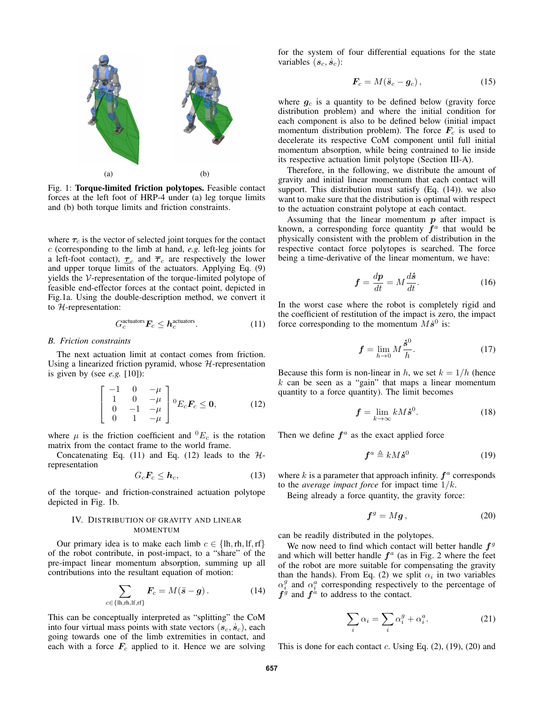

Fig. 1: Torque-limited friction polytopes. Feasible contact forces at the left foot of HRP-4 under (a) leg torque limits and (b) both torque limits and friction constraints.

where  $\tau_c$  is the vector of selected joint torques for the contact c (corresponding to the limb at hand, *e.g.* left-leg joints for a left-foot contact),  $\tau_c$  and  $\bar{\tau}_c$  are respectively the lower and upper torque limits of the actuators. Applying Eq. (9) yields the V-representation of the torque-limited polytope of feasible end-effector forces at the contact point, depicted in Fig.1a. Using the double-description method, we convert it to H-representation:

$$
G_c^{\text{actualors}} \boldsymbol{F}_c \leq \boldsymbol{h}_c^{\text{actualors}}.
$$
 (11)

#### *B. Friction constraints*

The next actuation limit at contact comes from friction. Using a linearized friction pyramid, whose  $H$ -representation is given by (see  $e.g.$  [10]):

$$
\begin{bmatrix} -1 & 0 & -\mu \\ 1 & 0 & -\mu \\ 0 & -1 & -\mu \\ 0 & 1 & -\mu \end{bmatrix}{}^{0}E_{c}\mathbf{F}_{c} \leq \mathbf{0}, \tag{12}
$$

where  $\mu$  is the friction coefficient and  ${}^{0}E_c$  is the rotation matrix from the contact frame to the world frame.

Concatenating Eq. (11) and Eq. (12) leads to the  $H$ representation

$$
G_c \mathbf{F}_c \leq \mathbf{h}_c,\tag{13}
$$

of the torque- and friction-constrained actuation polytope depicted in Fig. 1b.

# IV. DISTRIBUTION OF GRAVITY AND LINEAR MOMENTUM

Our primary idea is to make each limb  $c \in \{\text{lh}, \text{rh}, \text{lf}, \text{rf}\}\$ of the robot contribute, in post-impact, to a "share" of the pre-impact linear momentum absorption, summing up all contributions into the resultant equation of motion:

$$
\sum_{c \in \{\text{lh,rh},\text{lf},\text{rf}\}} \boldsymbol{F}_c = M(\ddot{\boldsymbol{s}} - \boldsymbol{g}) \,. \tag{14}
$$

This can be conceptually interpreted as "splitting" the CoM into four virtual mass points with state vectors  $(s_c, \dot{s}_c)$ , each going towards one of the limb extremities in contact, and each with a force  $F_c$  applied to it. Hence we are solving

for the system of four differential equations for the state variables  $(s_c, \dot{s}_c)$ :

$$
\boldsymbol{F}_c = M(\ddot{\boldsymbol{s}}_c - \boldsymbol{g}_c),\tag{15}
$$

where  $g_c$  is a quantity to be defined below (gravity force distribution problem) and where the initial condition for each component is also to be defined below (initial impact momentum distribution problem). The force  $F_c$  is used to decelerate its respective CoM component until full initial momentum absorption, while being contrained to lie inside its respective actuation limit polytope (Section III-A).

Therefore, in the following, we distribute the amount of gravity and initial linear momentum that each contact will support. This distribution must satisfy (Eq. (14)). we also want to make sure that the distribution is optimal with respect to the actuation constraint polytope at each contact.

Assuming that the linear momentum *p* after impact is known, a corresponding force quantity  $f^a$  that would be physically consistent with the problem of distribution in the respective contact force polytopes is searched. The force being a time-derivative of the linear momentum, we have:

$$
\mathbf{f} = \frac{d\mathbf{p}}{dt} = M \frac{d\dot{\mathbf{s}}}{dt}.
$$
 (16)

In the worst case where the robot is completely rigid and the coefficient of restitution of the impact is zero, the impact force corresponding to the momentum  $M\dot{s}^0$  is:

$$
\mathbf{f} = \lim_{h \to 0} M \frac{\dot{\mathbf{s}}^0}{h}.
$$
 (17)

Because this form is non-linear in h, we set  $k = 1/h$  (hence  $k$  can be seen as a "gain" that maps a linear momentum quantity to a force quantity). The limit becomes

$$
\mathbf{f} = \lim_{k \to \infty} kM\dot{\mathbf{s}}^0. \tag{18}
$$

Then we define  $f^a$  as the exact applied force

$$
\boldsymbol{f}^a \triangleq kM\dot{\boldsymbol{s}}^0 \tag{19}
$$

where k is a parameter that approach infinity.  $f^a$  corresponds to the *average impact force* for impact time 1/k.

Being already a force quantity, the gravity force:

$$
\boldsymbol{f}^g = M\boldsymbol{g} \,, \tag{20}
$$

can be readily distributed in the polytopes.

We now need to find which contact will better handle  $f<sup>g</sup>$ and which will better handle  $f^a$  (as in Fig. 2 where the feet of the robot are more suitable for compensating the gravity than the hands). From Eq. (2) we split  $\alpha_i$  in two variables  $\alpha_i^g$  and  $\alpha_i^a$  corresponding respectively to the percentage of  $f<sup>g</sup>$  and  $f<sup>a</sup>$  to address to the contact.

$$
\sum_{i} \alpha_i = \sum_{i} \alpha_i^g + \alpha_i^a. \tag{21}
$$

This is done for each contact c. Using Eq.  $(2)$ ,  $(19)$ ,  $(20)$  and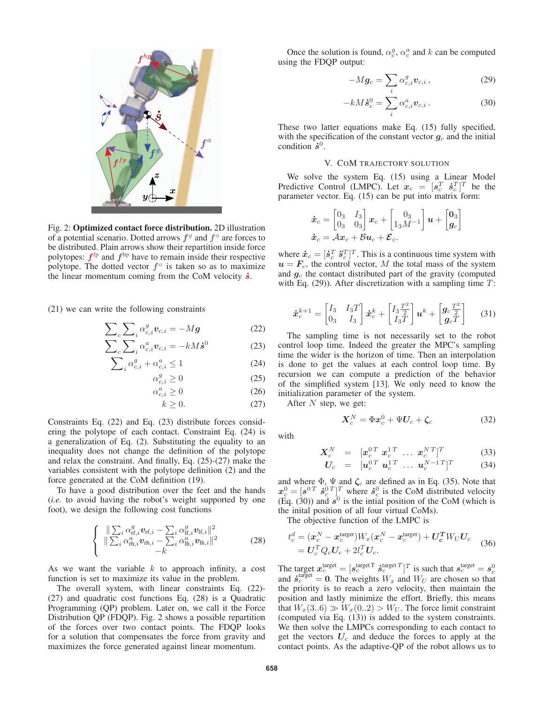

Fig. 2: Optimized contact force distribution. 2D illustration of a potential scenario. Dotted arrows  $f<sup>g</sup>$  and  $f<sup>a</sup>$  are forces to be distributed. Plain arrows show their repartition inside force polytopes:  $f^{\text{fp}}$  and  $f^{\text{hp}}$  have to remain inside their respective polytope. The dotted vector  $f^a$  is taken so as to maximize the linear momentum coming from the CoM velocity *s***˙**.

(21) we can write the following constraints

$$
\sum_{c} \sum_{i} \alpha_{c,i}^{g} \boldsymbol{v}_{c,i} = -M\boldsymbol{g}
$$
 (22)

$$
\sum_{c} \sum_{i} \alpha_{c,i}^{a} \mathbf{v}_{c,i} = -kM\dot{\mathbf{s}}^{0}
$$
 (23)

$$
\sum_{i} \alpha_{c,i}^{g} + \alpha_{c,i}^{a} \le 1
$$
\n
$$
\alpha_{c,i}^{g} \ge 0
$$
\n(24)

$$
\alpha_{c,i}^g \ge 0 \tag{25}
$$
\n
$$
\alpha_{c,i}^a \ge 0 \tag{26}
$$

$$
\begin{aligned}\n &a_{c,i} \ge 0 \\
&k \ge 0.\n \end{aligned}\n \tag{26}
$$

Constraints Eq. 
$$
(22)
$$
 and Eq.  $(23)$  distribute forces considering the polytope of each contact. Constraint Eq.  $(24)$  is a generalization of Eq. (2). Substituting the equality to an inequality does not change the definition of the polytope and relax the constraint. And finally, Eq. (25)-(27) make the variables consistent with the polytope definition (2) and the force generated at the CoM definition (19).

To have a good distribution over the feet and the hands (*i.e.* to avoid having the robot's weight supported by one foot), we design the following cost functions

$$
\begin{cases} \|\sum_{i} \alpha_{\text{rf},i}^{q} \mathbf{v}_{\text{rf},i} - \sum_{i} \alpha_{\text{lf},i}^{q} \mathbf{v}_{\text{lf},i} \|^{2} \\ \|\sum_{i} \alpha_{\text{rh},i}^{a} \mathbf{v}_{\text{rh},i} - \sum_{i} \alpha_{\text{lh},i}^{a} \mathbf{v}_{\text{lh},i} \|^{2} \\ -k \end{cases}
$$
(28)

As we want the variable  $k$  to approach infinity, a cost function is set to maximize its value in the problem.

The overall system, with linear constraints Eq. (22)- (27) and quadratic cost functions Eq. (28) is a Quadratic Programming (QP) problem. Later on, we call it the Force Distribution QP (FDQP). Fig. 2 shows a possible repartition of the forces over two contact points. The FDQP looks for a solution that compensates the force from gravity and maximizes the force generated against linear momentum.

Once the solution is found,  $\alpha_c^g$ ,  $\alpha_c^a$  and k can be computed using the FDQP output:

$$
-Mg_c = \sum_i \alpha_{c,i}^g v_{c,i}, \qquad (29)
$$

$$
-kM\dot{\boldsymbol{s}}_c^0 = \sum_i \alpha_{c,i}^a v_{c,i}.
$$
 (30)

These two latter equations make Eq. (15) fully specified, with the specification of the constant vector  $g_c$  and the initial condition  $\dot{s}^0$ .

#### V. COM TRAJECTORY SOLUTION

We solve the system Eq. (15) using a Linear Model Predictive Control (LMPC). Let  $x_c = [s_c^T \ \dot{s}_c^T]^T$  be the parameter vector. Eq. (15) can be put into matrix form:

$$
\dot{\boldsymbol{x}}_c = \begin{bmatrix} 0_3 & I_3 \\ 0_3 & 0_3 \end{bmatrix} \boldsymbol{x}_c + \begin{bmatrix} 0_3 \\ 1_3 M^{-1} \end{bmatrix} \boldsymbol{u} + \begin{bmatrix} 0_3 \\ g_c \end{bmatrix}
$$

$$
\dot{\boldsymbol{x}}_c = \mathcal{A} \boldsymbol{x}_c + \mathcal{B} \boldsymbol{u}_c + \boldsymbol{\mathcal{E}}_c.
$$

where  $\dot{\boldsymbol{x}}_c = [\dot{\boldsymbol{s}}_c^T \ \ddot{\boldsymbol{s}}_c^T]^T$ . This is a continuous time system with  $u = F<sub>c</sub>$ , the control vector, M the total mass of the system and  $g_c$  the contact distributed part of the gravity (computed with Eq.  $(29)$ ). After discretization with a sampling time T:

$$
\dot{\boldsymbol{x}}_c^{k+1} = \begin{bmatrix} I_3 & I_3 T \\ 0_3 & I_3 \end{bmatrix} \dot{\boldsymbol{x}}_c^k + \begin{bmatrix} I_3 \frac{T^2}{2} \\ I_3 T \end{bmatrix} \boldsymbol{u}^k + \begin{bmatrix} g_c \frac{T^2}{2} \\ g_c T \end{bmatrix}
$$
 (31)

The sampling time is not necessarily set to the robot control loop time. Indeed the greater the MPC's sampling time the wider is the horizon of time. Then an interpolation is done to get the values at each control loop time. By recursion we can compute a prediction of the behavior of the simplified system [13]. We only need to know the initialization parameter of the system.

After  $N$  step, we get:

$$
\mathbf{X}_c^N = \Phi \mathbf{x}_c^0 + \Psi \mathbf{U}_c + \zeta_c \tag{32}
$$

with

$$
\mathbf{X}_c^N = [\mathbf{x}_c^{0\,T} \ \mathbf{x}_c^{1\,T} \ \ldots \ \mathbf{x}_c^{N\,T}]^T \tag{33}
$$

$$
U_c = [u_c^{0T} u_c^{1T} \dots u_c^{N-1T}]^T
$$
 (34)

and where  $\Phi$ ,  $\Psi$  and  $\zeta_c$  are defined as in Eq. (35). Note that  $x_c^0 = [s^{0T} \dot{s}_c^0]$ <sup>T</sup> where  $\dot{s}_c^0$  is the CoM distributed velocity (Eq. (30)) and  $s^0$  is the intial position of the CoM (which is the inital position of all four virtual CoMs).

The objective function of the LMPC is

$$
t_c^d = (\boldsymbol{x}_c^N - \boldsymbol{x}_c^{\text{target}})W_x(\boldsymbol{x}_c^N - \boldsymbol{x}_c^{\text{target}}) + \boldsymbol{U_c^T}W_U\boldsymbol{U_c}
$$
  
= 
$$
\boldsymbol{U_c^T}Q_c\boldsymbol{U_c} + 2l_c^T\boldsymbol{U_c}.
$$
 (36)

The target  $\mathbf{x}_c^{\text{target}} = [\mathbf{s}_c^{\text{target T}} \ \mathbf{\dot{s}}_c^{\text{target T}}]^T$  is such that  $\mathbf{s}_c^{\text{target}} = \mathbf{s}_c^0$  and  $\mathbf{\dot{s}}_c^{\text{target}} = \mathbf{0}$ . The weights  $W_x$  and  $W_U$  are chosen so that the priority is to reach a zero velocity, then maintain the position and lastly minimize the effort. Briefly, this means that  $W_x(3.6) \gg W_x(0.2) > W_U$ . The force limit constraint (computed via Eq. (13)) is added to the system constraints. We then solve the LMPCs corresponding to each contact to get the vectors  $U_c$  and deduce the forces to apply at the contact points. As the adaptive-QP of the robot allows us to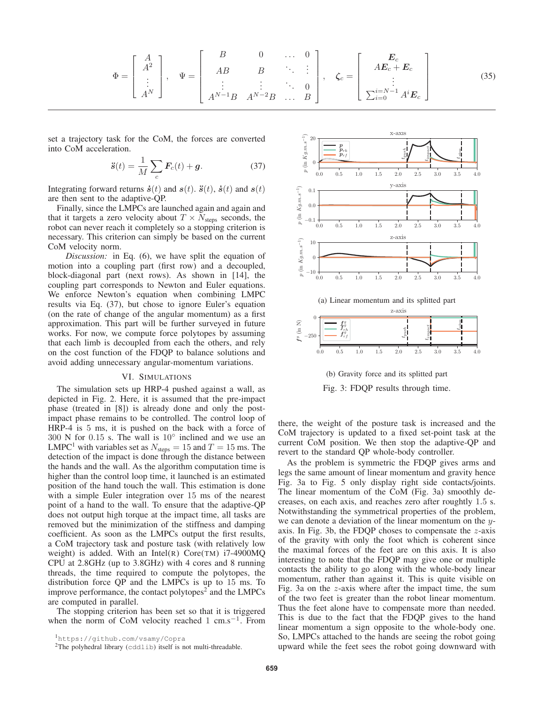$$
\Phi = \begin{bmatrix} A \\ A^2 \\ \vdots \\ A^N \end{bmatrix}, \quad \Psi = \begin{bmatrix} B & 0 & \dots & 0 \\ AB & B & \ddots & \vdots \\ \vdots & \vdots & \ddots & 0 \\ A^{N-1}B & A^{N-2}B & \dots & B \end{bmatrix}, \quad \zeta_c = \begin{bmatrix} E_c \\ AE_c + E_c \\ \vdots \\ \sum_{i=0}^{i=N-1} A^i E_c \end{bmatrix}
$$
(35)

set a trajectory task for the CoM, the forces are converted into CoM acceleration.

$$
\ddot{\boldsymbol{s}}(t) = \frac{1}{M} \sum_{c} \boldsymbol{F}_c(t) + \boldsymbol{g}.
$$
 (37)

Integrating forward returns  $\dot{s}(t)$  and  $s(t)$ .  $\ddot{s}(t)$ ,  $\dot{s}(t)$  and  $s(t)$ are then sent to the adaptive-QP.

Finally, since the LMPCs are launched again and again and that it targets a zero velocity about  $T \times N_{\text{steps}}$  seconds, the robot can never reach it completely so a stopping criterion is necessary. This criterion can simply be based on the current CoM velocity norm.

*Discussion:* in Eq. (6), we have split the equation of motion into a coupling part (first row) and a decoupled, block-diagonal part (next rows). As shown in [14], the coupling part corresponds to Newton and Euler equations. We enforce Newton's equation when combining LMPC results via Eq. (37), but chose to ignore Euler's equation (on the rate of change of the angular momentum) as a first approximation. This part will be further surveyed in future works. For now, we compute force polytopes by assuming that each limb is decoupled from each the others, and rely on the cost function of the FDQP to balance solutions and avoid adding unnecessary angular-momentum variations.

#### VI. SIMULATIONS

The simulation sets up HRP-4 pushed against a wall, as depicted in Fig. 2. Here, it is assumed that the pre-impact phase (treated in [8]) is already done and only the postimpact phase remains to be controlled. The control loop of HRP-4 is 5 ms, it is pushed on the back with a force of 300 N for 0.15 s. The wall is  $10°$  inclined and we use an LMPC<sup>1</sup> with variables set as  $N_{\text{steps}} = 15$  and  $T = 15$  ms. The detection of the impact is done through the distance between the hands and the wall. As the algorithm computation time is higher than the control loop time, it launched is an estimated position of the hand touch the wall. This estimation is done with a simple Euler integration over 15 ms of the nearest point of a hand to the wall. To ensure that the adaptive-QP does not output high torque at the impact time, all tasks are removed but the minimization of the stiffness and damping coefficient. As soon as the LMPCs output the first results, a CoM trajectory task and posture task (with relatively low weight) is added. With an Intel(R)  $Core(TM)$  i7-4900MQ CPU at 2.8GHz (up to 3.8GHz) with 4 cores and 8 running threads, the time required to compute the polytopes, the distribution force QP and the LMPCs is up to 15 ms. To improve performance, the contact polytopes<sup>2</sup> and the LMPCs are computed in parallel.

The stopping criterion has been set so that it is triggered when the norm of CoM velocity reached 1 cm.s<sup> $-1$ </sup>. From



Fig. 3: FDQP results through time.

there, the weight of the posture task is increased and the CoM trajectory is updated to a fixed set-point task at the current CoM position. We then stop the adaptive-QP and revert to the standard QP whole-body controller.

As the problem is symmetric the FDQP gives arms and legs the same amount of linear momentum and gravity hence Fig. 3a to Fig. 5 only display right side contacts/joints. The linear momentum of the CoM (Fig. 3a) smoothly decreases, on each axis, and reaches zero after roughtly 1.5 s. Notwithstanding the symmetrical properties of the problem, we can denote a deviation of the linear momentum on the yaxis. In Fig. 3b, the FDQP choses to compensate the  $z$ -axis of the gravity with only the foot which is coherent since the maximal forces of the feet are on this axis. It is also interesting to note that the FDQP may give one or multiple contacts the ability to go along with the whole-body linear momentum, rather than against it. This is quite visible on Fig. 3a on the z-axis where after the impact time, the sum of the two feet is greater than the robot linear momentum. Thus the feet alone have to compensate more than needed. This is due to the fact that the FDQP gives to the hand linear momentum a sign opposite to the whole-body one. So, LMPCs attached to the hands are seeing the robot going upward while the feet sees the robot going downward with

<sup>1</sup>https://github.com/vsamy/Copra

<sup>&</sup>lt;sup>2</sup>The polyhedral library (cddlib) itself is not multi-threadable.